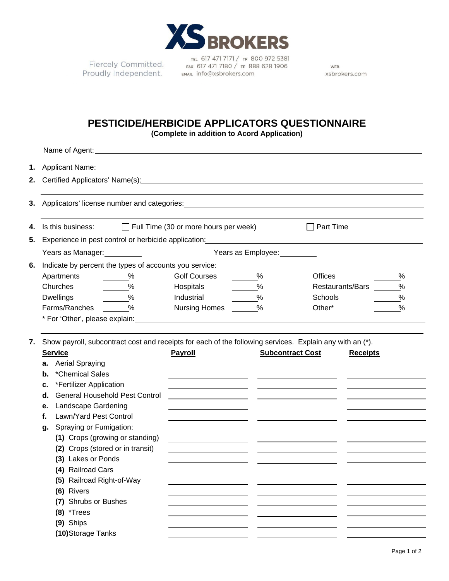

Fiercely Committed. Proudly Independent.

**(9)** Ships

**(10)** Storage Tanks

TEL 617 471 7171 / TF 800 972 5381 FAX 617 471 7180 / TF 888 628 1906 EMAIL info@xsbrokers.com

WEB xsbrokers.com

## **PESTICIDE/HERBICIDE APPLICATORS QUESTIONNAIRE (Complete in addition to Acord Application)**

|                                                                                                                                                                                                                                      | Name of Agent: Name of Agent:                                                                                                                                        |                                                            |      |                         |                |                  |               |  |  |  |  |  |  |
|--------------------------------------------------------------------------------------------------------------------------------------------------------------------------------------------------------------------------------------|----------------------------------------------------------------------------------------------------------------------------------------------------------------------|------------------------------------------------------------|------|-------------------------|----------------|------------------|---------------|--|--|--|--|--|--|
|                                                                                                                                                                                                                                      | Applicant Name:                                                                                                                                                      | <u> 1989 - Johann Barn, amerikansk politiker (d. 1989)</u> |      |                         |                |                  |               |  |  |  |  |  |  |
| Certified Applicators' Name(s): Manneler Contract Contract Contract Contract Contract Contract Contract Contract Contract Contract Contract Contract Contract Contract Contract Contract Contract Contract Contract Contract C<br>2. |                                                                                                                                                                      |                                                            |      |                         |                |                  |               |  |  |  |  |  |  |
|                                                                                                                                                                                                                                      | Applicators' license number and categories:<br><u> 1989 - Johann Stoff, deutscher Stoffen und der Stoffen und der Stoffen und der Stoffen und der Stoffen und de</u> |                                                            |      |                         |                |                  |               |  |  |  |  |  |  |
|                                                                                                                                                                                                                                      | $\Box$ Full Time (30 or more hours per week)<br>$\Box$ Part Time<br>Is this business:                                                                                |                                                            |      |                         |                |                  |               |  |  |  |  |  |  |
|                                                                                                                                                                                                                                      | Experience in pest control or herbicide application:<br><u> 1980 - Johann Barbara, martxa alemaniar a</u>                                                            |                                                            |      |                         |                |                  |               |  |  |  |  |  |  |
| Years as Employee:<br>Years as Manager:<br><u>Learney and the Vealer</u>                                                                                                                                                             |                                                                                                                                                                      |                                                            |      |                         |                |                  |               |  |  |  |  |  |  |
|                                                                                                                                                                                                                                      | Indicate by percent the types of accounts you service:                                                                                                               |                                                            |      |                         |                |                  |               |  |  |  |  |  |  |
|                                                                                                                                                                                                                                      | Apartments<br>$\%$                                                                                                                                                   | <b>Golf Courses</b>                                        | $\%$ |                         | <b>Offices</b> |                  | $\%$          |  |  |  |  |  |  |
|                                                                                                                                                                                                                                      | $\%$<br>Churches                                                                                                                                                     | Hospitals                                                  |      | $\%$                    |                | Restaurants/Bars | $\frac{0}{0}$ |  |  |  |  |  |  |
|                                                                                                                                                                                                                                      | $\frac{0}{0}$<br><b>Dwellings</b>                                                                                                                                    | Industrial                                                 |      | $\%$                    | Schools        |                  | $\%$          |  |  |  |  |  |  |
|                                                                                                                                                                                                                                      | Farms/Ranches<br>$\frac{9}{6}$                                                                                                                                       | Nursing Homes 2%                                           |      |                         | Other*         |                  | $\frac{0}{0}$ |  |  |  |  |  |  |
|                                                                                                                                                                                                                                      | Show payroll, subcontract cost and receipts for each of the following services. Explain any with an (*).                                                             |                                                            |      |                         |                |                  |               |  |  |  |  |  |  |
| <b>Service</b>                                                                                                                                                                                                                       |                                                                                                                                                                      | Payroll                                                    |      | <b>Subcontract Cost</b> |                | <b>Receipts</b>  |               |  |  |  |  |  |  |
| а.                                                                                                                                                                                                                                   | <b>Aerial Spraying</b>                                                                                                                                               |                                                            |      |                         |                |                  |               |  |  |  |  |  |  |
| b.                                                                                                                                                                                                                                   | *Chemical Sales                                                                                                                                                      |                                                            |      |                         |                |                  |               |  |  |  |  |  |  |
| c.<br>d.                                                                                                                                                                                                                             | *Fertilizer Application<br>General Household Pest Control                                                                                                            |                                                            |      |                         |                |                  |               |  |  |  |  |  |  |
| е.                                                                                                                                                                                                                                   | Landscape Gardening                                                                                                                                                  |                                                            |      |                         |                |                  |               |  |  |  |  |  |  |
| f.                                                                                                                                                                                                                                   | Lawn/Yard Pest Control                                                                                                                                               |                                                            |      |                         |                |                  |               |  |  |  |  |  |  |
| g.                                                                                                                                                                                                                                   | Spraying or Fumigation:                                                                                                                                              |                                                            |      |                         |                |                  |               |  |  |  |  |  |  |
|                                                                                                                                                                                                                                      | (1) Crops (growing or standing)                                                                                                                                      | the control of the control of the control of               |      |                         |                |                  |               |  |  |  |  |  |  |
|                                                                                                                                                                                                                                      | (2) Crops (stored or in transit)                                                                                                                                     |                                                            |      |                         |                |                  |               |  |  |  |  |  |  |
|                                                                                                                                                                                                                                      | (3) Lakes or Ponds                                                                                                                                                   |                                                            |      |                         |                |                  |               |  |  |  |  |  |  |
|                                                                                                                                                                                                                                      | (4) Railroad Cars                                                                                                                                                    |                                                            |      |                         |                |                  |               |  |  |  |  |  |  |
|                                                                                                                                                                                                                                      | (5) Railroad Right-of-Way                                                                                                                                            |                                                            |      |                         |                |                  |               |  |  |  |  |  |  |
|                                                                                                                                                                                                                                      | (6) Rivers                                                                                                                                                           |                                                            |      |                         |                |                  |               |  |  |  |  |  |  |
|                                                                                                                                                                                                                                      | (7) Shrubs or Bushes                                                                                                                                                 |                                                            |      |                         |                |                  |               |  |  |  |  |  |  |
|                                                                                                                                                                                                                                      | $(8)$ *Trees                                                                                                                                                         |                                                            |      |                         |                |                  |               |  |  |  |  |  |  |